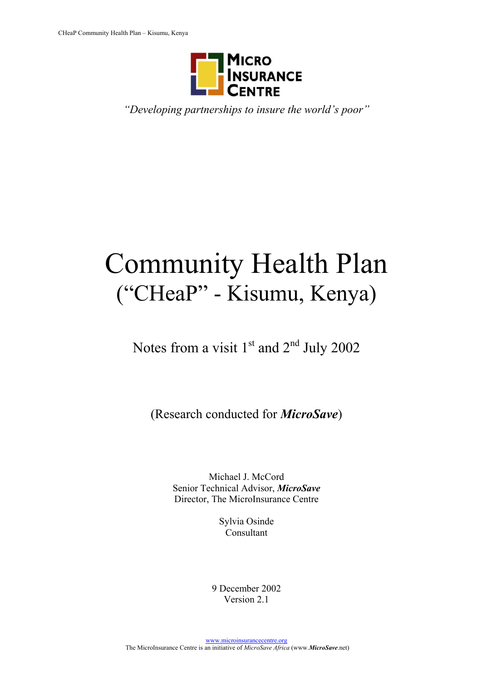

*"Developing partnerships to insure the world's poor"* 

# Community Health Plan ("CHeaP" - Kisumu, Kenya)

Notes from a visit  $1<sup>st</sup>$  and  $2<sup>nd</sup>$  July 2002

(Research conducted for *MicroSave*)

Michael J. McCord Senior Technical Advisor, *MicroSave* Director, The MicroInsurance Centre

> Sylvia Osinde Consultant

9 December 2002 Version 2.1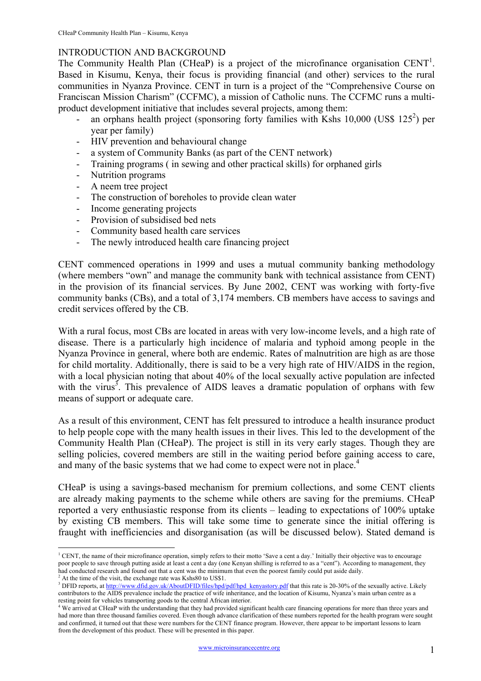#### INTRODUCTION AND BACKGROUND

The Community Health Plan (CHeaP) is a project of the microfinance organisation  $CENT<sup>1</sup>$  $CENT<sup>1</sup>$  $CENT<sup>1</sup>$ . Based in Kisumu, Kenya, their focus is providing financial (and other) services to the rural communities in Nyanza Province. CENT in turn is a project of the "Comprehensive Course on Franciscan Mission Charism" (CCFMC), a mission of Catholic nuns. The CCFMC runs a multiproduct development initiative that includes several projects, among them:

- an orphans health project (sponsoring forty families with Kshs  $10,000$  (US\$  $125^2$  $125^2$  $125^2$ ) per year per family)
- HIV prevention and behavioural change
- a system of Community Banks (as part of the CENT network)
- Training programs ( in sewing and other practical skills) for orphaned girls
- Nutrition programs
- A neem tree project
- The construction of boreholes to provide clean water
- Income generating projects
- Provision of subsidised bed nets
- Community based health care services
- The newly introduced health care financing project

CENT commenced operations in 1999 and uses a mutual community banking methodology (where members "own" and manage the community bank with technical assistance from CENT) in the provision of its financial services. By June 2002, CENT was working with forty-five community banks (CBs), and a total of 3,174 members. CB members have access to savings and credit services offered by the CB.

With a rural focus, most CBs are located in areas with very low-income levels, and a high rate of disease. There is a particularly high incidence of malaria and typhoid among people in the Nyanza Province in general, where both are endemic. Rates of malnutrition are high as are those for child mortality. Additionally, there is said to be a very high rate of HIV/AIDS in the region, with a local physician noting that about 40% of the local sexually active population are infected with the virus<sup>[3](#page-1-2)</sup>. This prevalence of AIDS leaves a dramatic population of orphans with few means of support or adequate care.

As a result of this environment, CENT has felt pressured to introduce a health insurance product to help people cope with the many health issues in their lives. This led to the development of the Community Health Plan (CHeaP). The project is still in its very early stages. Though they are selling policies, covered members are still in the waiting period before gaining access to care, and many of the basic systems that we had come to expect were not in place.<sup>[4](#page-1-3)</sup>

CHeaP is using a savings-based mechanism for premium collections, and some CENT clients are already making payments to the scheme while others are saving for the premiums. CHeaP reported a very enthusiastic response from its clients – leading to expectations of 100% uptake by existing CB members. This will take some time to generate since the initial offering is fraught with inefficiencies and disorganisation (as will be discussed below). Stated demand is

 $\overline{a}$ 

<span id="page-1-0"></span><sup>&</sup>lt;sup>1</sup> CENT, the name of their microfinance operation, simply refers to their motto 'Save a cent a day.' Initially their objective was to encourage poor people to save through putting aside at least a cent a day (one Kenyan shilling is referred to as a "cent"). According to management, they had conducted research and found out that a cent was the minimum that even the poorest family could put aside daily.

<span id="page-1-1"></span> $2^2$  At the time of the visit, the exchange rate was Kshs80 to US\$1.

<span id="page-1-2"></span><sup>&</sup>lt;sup>3</sup> DFID reports, at [http://www.dfid.gov.uk/AboutDFID/files/hpd/pdf/hpd\\_kenyastory.pdf](http://www.dfid.gov.uk/AboutDFID/files/hpd/pdf/hpd_kenyastory.pdf) that this rate is 20-30% of the sexually active. Likely contributors to the AIDS prevalence include the practice of wife inheritance, and the location of Kisumu, Nyanza's main urban centre as a

<span id="page-1-3"></span>resting point for vehicles transporting goods to the central African interior.<br><sup>4</sup> We arrived at CHeaP with the understanding that they had provided significant health care financing operations for more than three years an had more than three thousand families covered. Even though advance clarification of these numbers reported for the health program were sought and confirmed, it turned out that these were numbers for the CENT finance program. However, there appear to be important lessons to learn from the development of this product. These will be presented in this paper.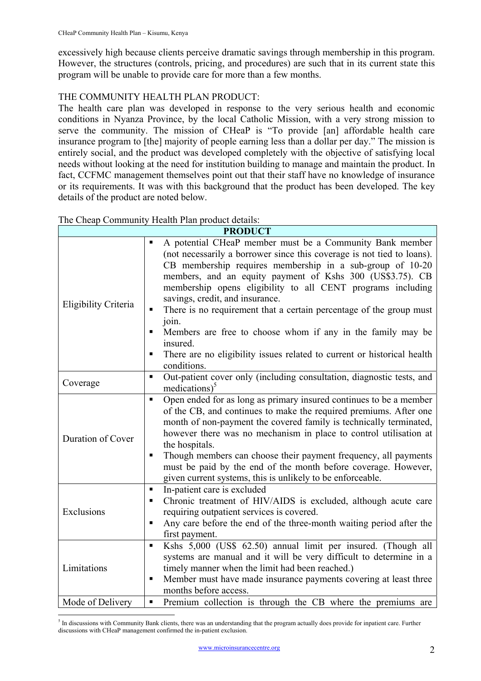excessively high because clients perceive dramatic savings through membership in this program. However, the structures (controls, pricing, and procedures) are such that in its current state this program will be unable to provide care for more than a few months.

### THE COMMUNITY HEALTH PLAN PRODUCT:

The health care plan was developed in response to the very serious health and economic conditions in Nyanza Province, by the local Catholic Mission, with a very strong mission to serve the community. The mission of CHeaP is "To provide [an] affordable health care insurance program to [the] majority of people earning less than a dollar per day." The mission is entirely social, and the product was developed completely with the objective of satisfying local needs without looking at the need for institution building to manage and maintain the product. In fact, CCFMC management themselves point out that their staff have no knowledge of insurance or its requirements. It was with this background that the product has been developed. The key details of the product are noted below.

| <b>PRODUCT</b>       |                                                                                                                                                                                                                                                                                                                                                                                                                                                                                                                                                                                                                                                 |  |  |  |  |
|----------------------|-------------------------------------------------------------------------------------------------------------------------------------------------------------------------------------------------------------------------------------------------------------------------------------------------------------------------------------------------------------------------------------------------------------------------------------------------------------------------------------------------------------------------------------------------------------------------------------------------------------------------------------------------|--|--|--|--|
| Eligibility Criteria | A potential CHeaP member must be a Community Bank member<br>п<br>(not necessarily a borrower since this coverage is not tied to loans).<br>CB membership requires membership in a sub-group of 10-20<br>members, and an equity payment of Kshs 300 (US\$3.75). CB<br>membership opens eligibility to all CENT programs including<br>savings, credit, and insurance.<br>There is no requirement that a certain percentage of the group must<br>٠<br>join.<br>Members are free to choose whom if any in the family may be<br>$\blacksquare$<br>insured.<br>There are no eligibility issues related to current or historical health<br>conditions. |  |  |  |  |
| Coverage             | Out-patient cover only (including consultation, diagnostic tests, and<br>٠<br>medications) $5$                                                                                                                                                                                                                                                                                                                                                                                                                                                                                                                                                  |  |  |  |  |
| Duration of Cover    | Open ended for as long as primary insured continues to be a member<br>П<br>of the CB, and continues to make the required premiums. After one<br>month of non-payment the covered family is technically terminated,<br>however there was no mechanism in place to control utilisation at<br>the hospitals.<br>Though members can choose their payment frequency, all payments<br>п<br>must be paid by the end of the month before coverage. However,<br>given current systems, this is unlikely to be enforceable.                                                                                                                               |  |  |  |  |
| Exclusions           | In-patient care is excluded<br>П<br>Chronic treatment of HIV/AIDS is excluded, although acute care<br>٠<br>requiring outpatient services is covered.<br>Any care before the end of the three-month waiting period after the<br>п<br>first payment.                                                                                                                                                                                                                                                                                                                                                                                              |  |  |  |  |
| Limitations          | Kshs 5,000 (US\$ 62.50) annual limit per insured. (Though all<br>٠<br>systems are manual and it will be very difficult to determine in a<br>timely manner when the limit had been reached.)<br>Member must have made insurance payments covering at least three<br>٠<br>months before access.                                                                                                                                                                                                                                                                                                                                                   |  |  |  |  |
| Mode of Delivery     | Premium collection is through the CB where the premiums are<br>П                                                                                                                                                                                                                                                                                                                                                                                                                                                                                                                                                                                |  |  |  |  |

The Cheap Community Health Plan product details:

<span id="page-2-0"></span><sup>&</sup>lt;sup>5</sup> In discussions with Community Bank clients, there was an understanding that the program actually does provide for inpatient care. Further discussions with CHeaP management confirmed the in-patient exclusion.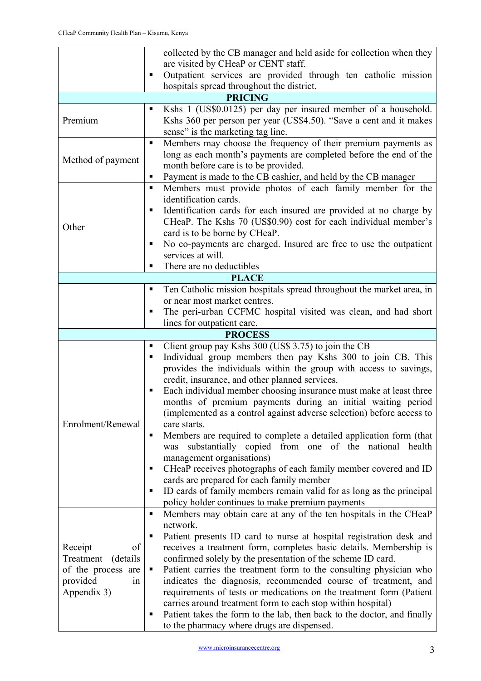|                        | collected by the CB manager and held aside for collection when they<br>are visited by CHeaP or CENT staff.                 |  |  |  |  |  |
|------------------------|----------------------------------------------------------------------------------------------------------------------------|--|--|--|--|--|
|                        |                                                                                                                            |  |  |  |  |  |
|                        | Outpatient services are provided through ten catholic mission<br>п<br>hospitals spread throughout the district.            |  |  |  |  |  |
| <b>PRICING</b>         |                                                                                                                            |  |  |  |  |  |
|                        | Kshs 1 (US\$0.0125) per day per insured member of a household.<br>٠                                                        |  |  |  |  |  |
| Premium                | Kshs 360 per person per year (US\$4.50). "Save a cent and it makes                                                         |  |  |  |  |  |
|                        | sense" is the marketing tag line.                                                                                          |  |  |  |  |  |
|                        | Members may choose the frequency of their premium payments as<br>п                                                         |  |  |  |  |  |
|                        | long as each month's payments are completed before the end of the                                                          |  |  |  |  |  |
| Method of payment      | month before care is to be provided.                                                                                       |  |  |  |  |  |
|                        | Payment is made to the CB cashier, and held by the CB manager<br>п                                                         |  |  |  |  |  |
|                        | Members must provide photos of each family member for the<br>٠                                                             |  |  |  |  |  |
|                        | identification cards.                                                                                                      |  |  |  |  |  |
|                        | Identification cards for each insured are provided at no charge by<br>п                                                    |  |  |  |  |  |
| Other                  | CHeaP. The Kshs 70 (US\$0.90) cost for each individual member's                                                            |  |  |  |  |  |
|                        | card is to be borne by CHeaP.                                                                                              |  |  |  |  |  |
|                        | No co-payments are charged. Insured are free to use the outpatient<br>٠                                                    |  |  |  |  |  |
|                        | services at will.                                                                                                          |  |  |  |  |  |
|                        | There are no deductibles<br>п                                                                                              |  |  |  |  |  |
|                        | <b>PLACE</b>                                                                                                               |  |  |  |  |  |
|                        | Ten Catholic mission hospitals spread throughout the market area, in<br>п<br>or near most market centres.                  |  |  |  |  |  |
|                        | The peri-urban CCFMC hospital visited was clean, and had short<br>п                                                        |  |  |  |  |  |
|                        | lines for outpatient care.                                                                                                 |  |  |  |  |  |
|                        | <b>PROCESS</b>                                                                                                             |  |  |  |  |  |
|                        | Client group pay Kshs 300 (US\$ 3.75) to join the CB<br>п                                                                  |  |  |  |  |  |
|                        | Individual group members then pay Kshs 300 to join CB. This<br>п                                                           |  |  |  |  |  |
|                        | provides the individuals within the group with access to savings,                                                          |  |  |  |  |  |
|                        | credit, insurance, and other planned services.                                                                             |  |  |  |  |  |
|                        | Each individual member choosing insurance must make at least three<br>Е                                                    |  |  |  |  |  |
|                        | months of premium payments during an initial waiting period                                                                |  |  |  |  |  |
|                        | (implemented as a control against adverse selection) before access to                                                      |  |  |  |  |  |
| Enrolment/Renewal      | care starts.                                                                                                               |  |  |  |  |  |
|                        | Members are required to complete a detailed application form (that<br>п                                                    |  |  |  |  |  |
|                        | substantially copied from one of the national<br>health<br>was                                                             |  |  |  |  |  |
|                        | management organisations)<br>CHeaP receives photographs of each family member covered and ID<br>п                          |  |  |  |  |  |
|                        | cards are prepared for each family member                                                                                  |  |  |  |  |  |
|                        | ID cards of family members remain valid for as long as the principal<br>٠                                                  |  |  |  |  |  |
|                        | policy holder continues to make premium payments                                                                           |  |  |  |  |  |
|                        | Members may obtain care at any of the ten hospitals in the CHeaP<br>٠                                                      |  |  |  |  |  |
|                        | network.                                                                                                                   |  |  |  |  |  |
|                        | Patient presents ID card to nurse at hospital registration desk and<br>Е                                                   |  |  |  |  |  |
| of<br>Receipt          | receives a treatment form, completes basic details. Membership is                                                          |  |  |  |  |  |
| Treatment<br>(details) | confirmed solely by the presentation of the scheme ID card.                                                                |  |  |  |  |  |
| of the process are     | Patient carries the treatment form to the consulting physician who                                                         |  |  |  |  |  |
| provided<br>in         | indicates the diagnosis, recommended course of treatment, and                                                              |  |  |  |  |  |
| Appendix 3)            | requirements of tests or medications on the treatment form (Patient                                                        |  |  |  |  |  |
|                        | carries around treatment form to each stop within hospital)                                                                |  |  |  |  |  |
|                        |                                                                                                                            |  |  |  |  |  |
|                        | Patient takes the form to the lab, then back to the doctor, and finally<br>п<br>to the pharmacy where drugs are dispensed. |  |  |  |  |  |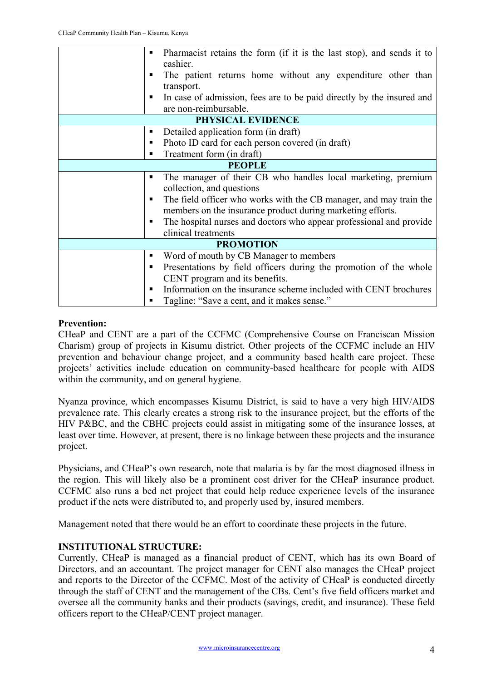| п | Pharmacist retains the form (if it is the last stop), and sends it to<br>٠<br>cashier.<br>The patient returns home without any expenditure other than<br>п<br>transport.<br>In case of admission, fees are to be paid directly by the insured and |
|---|---------------------------------------------------------------------------------------------------------------------------------------------------------------------------------------------------------------------------------------------------|
|   | are non-reimbursable.                                                                                                                                                                                                                             |
|   | PHYSICAL EVIDENCE                                                                                                                                                                                                                                 |
|   | Detailed application form (in draft)<br>п                                                                                                                                                                                                         |
|   | Photo ID card for each person covered (in draft)<br>٠                                                                                                                                                                                             |
|   | Treatment form (in draft)<br>п                                                                                                                                                                                                                    |
|   | <b>PEOPLE</b>                                                                                                                                                                                                                                     |
|   | The manager of their CB who handles local marketing, premium<br>п                                                                                                                                                                                 |
|   | collection, and questions                                                                                                                                                                                                                         |
|   | The field officer who works with the CB manager, and may train the<br>٠                                                                                                                                                                           |
|   | members on the insurance product during marketing efforts.                                                                                                                                                                                        |
|   | The hospital nurses and doctors who appear professional and provide<br>п                                                                                                                                                                          |
|   | clinical treatments                                                                                                                                                                                                                               |
|   | <b>PROMOTION</b>                                                                                                                                                                                                                                  |
|   | Word of mouth by CB Manager to members<br>٠                                                                                                                                                                                                       |
|   | Presentations by field officers during the promotion of the whole<br>п                                                                                                                                                                            |
|   | CENT program and its benefits.                                                                                                                                                                                                                    |
|   | Information on the insurance scheme included with CENT brochures<br>п                                                                                                                                                                             |
|   | Tagline: "Save a cent, and it makes sense."<br>п                                                                                                                                                                                                  |

#### **Prevention:**

CHeaP and CENT are a part of the CCFMC (Comprehensive Course on Franciscan Mission Charism) group of projects in Kisumu district. Other projects of the CCFMC include an HIV prevention and behaviour change project, and a community based health care project. These projects' activities include education on community-based healthcare for people with AIDS within the community, and on general hygiene.

Nyanza province, which encompasses Kisumu District, is said to have a very high HIV/AIDS prevalence rate. This clearly creates a strong risk to the insurance project, but the efforts of the HIV P&BC, and the CBHC projects could assist in mitigating some of the insurance losses, at least over time. However, at present, there is no linkage between these projects and the insurance project.

Physicians, and CHeaP's own research, note that malaria is by far the most diagnosed illness in the region. This will likely also be a prominent cost driver for the CHeaP insurance product. CCFMC also runs a bed net project that could help reduce experience levels of the insurance product if the nets were distributed to, and properly used by, insured members.

Management noted that there would be an effort to coordinate these projects in the future.

#### **INSTITUTIONAL STRUCTURE:**

Currently, CHeaP is managed as a financial product of CENT, which has its own Board of Directors, and an accountant. The project manager for CENT also manages the CHeaP project and reports to the Director of the CCFMC. Most of the activity of CHeaP is conducted directly through the staff of CENT and the management of the CBs. Cent's five field officers market and oversee all the community banks and their products (savings, credit, and insurance). These field officers report to the CHeaP/CENT project manager.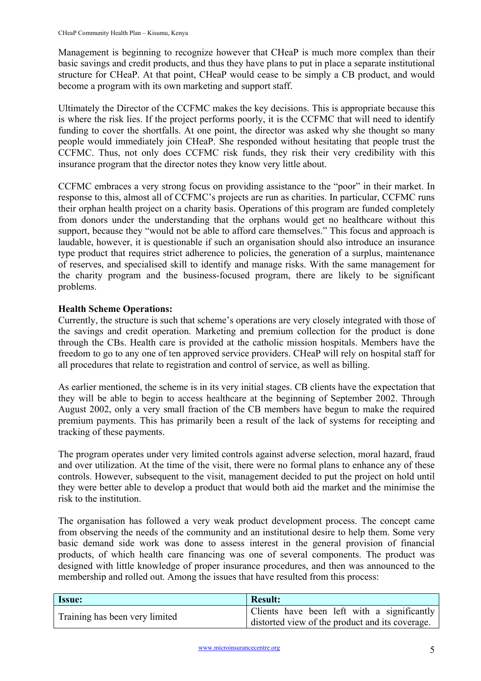Management is beginning to recognize however that CHeaP is much more complex than their basic savings and credit products, and thus they have plans to put in place a separate institutional structure for CHeaP. At that point, CHeaP would cease to be simply a CB product, and would become a program with its own marketing and support staff.

Ultimately the Director of the CCFMC makes the key decisions. This is appropriate because this is where the risk lies. If the project performs poorly, it is the CCFMC that will need to identify funding to cover the shortfalls. At one point, the director was asked why she thought so many people would immediately join CHeaP. She responded without hesitating that people trust the CCFMC. Thus, not only does CCFMC risk funds, they risk their very credibility with this insurance program that the director notes they know very little about.

CCFMC embraces a very strong focus on providing assistance to the "poor" in their market. In response to this, almost all of CCFMC's projects are run as charities. In particular, CCFMC runs their orphan health project on a charity basis. Operations of this program are funded completely from donors under the understanding that the orphans would get no healthcare without this support, because they "would not be able to afford care themselves." This focus and approach is laudable, however, it is questionable if such an organisation should also introduce an insurance type product that requires strict adherence to policies, the generation of a surplus, maintenance of reserves, and specialised skill to identify and manage risks. With the same management for the charity program and the business-focused program, there are likely to be significant problems.

#### **Health Scheme Operations:**

Currently, the structure is such that scheme's operations are very closely integrated with those of the savings and credit operation. Marketing and premium collection for the product is done through the CBs. Health care is provided at the catholic mission hospitals. Members have the freedom to go to any one of ten approved service providers. CHeaP will rely on hospital staff for all procedures that relate to registration and control of service, as well as billing.

As earlier mentioned, the scheme is in its very initial stages. CB clients have the expectation that they will be able to begin to access healthcare at the beginning of September 2002. Through August 2002, only a very small fraction of the CB members have begun to make the required premium payments. This has primarily been a result of the lack of systems for receipting and tracking of these payments.

The program operates under very limited controls against adverse selection, moral hazard, fraud and over utilization. At the time of the visit, there were no formal plans to enhance any of these controls. However, subsequent to the visit, management decided to put the project on hold until they were better able to develop a product that would both aid the market and the minimise the risk to the institution.

The organisation has followed a very weak product development process. The concept came from observing the needs of the community and an institutional desire to help them. Some very basic demand side work was done to assess interest in the general provision of financial products, of which health care financing was one of several components. The product was designed with little knowledge of proper insurance procedures, and then was announced to the membership and rolled out. Among the issues that have resulted from this process:

| <b>Issue:</b>                  | <b>Result:</b>                                  |  |  |  |
|--------------------------------|-------------------------------------------------|--|--|--|
| Training has been very limited | Clients have been left with a significantly     |  |  |  |
|                                | distorted view of the product and its coverage. |  |  |  |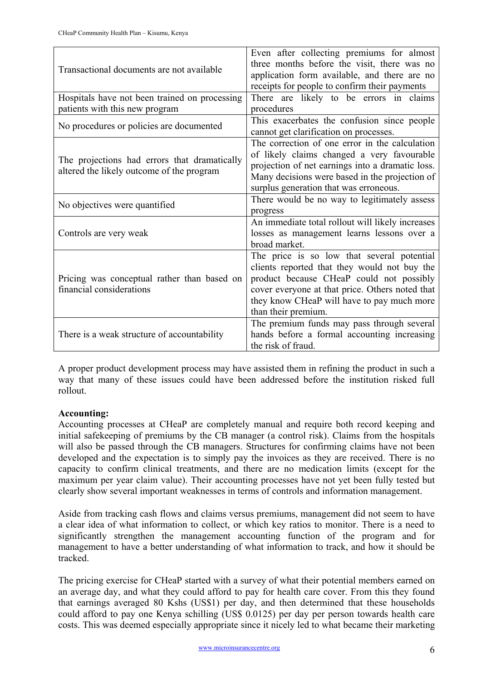| Transactional documents are not available                                                 | Even after collecting premiums for almost<br>three months before the visit, there was no<br>application form available, and there are no<br>receipts for people to confirm their payments                                                                      |  |  |
|-------------------------------------------------------------------------------------------|----------------------------------------------------------------------------------------------------------------------------------------------------------------------------------------------------------------------------------------------------------------|--|--|
| Hospitals have not been trained on processing                                             | There are likely to be errors in claims                                                                                                                                                                                                                        |  |  |
| patients with this new program                                                            | procedures                                                                                                                                                                                                                                                     |  |  |
| No procedures or policies are documented                                                  | This exacerbates the confusion since people<br>cannot get clarification on processes.                                                                                                                                                                          |  |  |
| The projections had errors that dramatically<br>altered the likely outcome of the program | The correction of one error in the calculation<br>of likely claims changed a very favourable<br>projection of net earnings into a dramatic loss.<br>Many decisions were based in the projection of<br>surplus generation that was erroneous.                   |  |  |
| No objectives were quantified                                                             | There would be no way to legitimately assess<br>progress                                                                                                                                                                                                       |  |  |
| Controls are very weak                                                                    | An immediate total rollout will likely increases<br>losses as management learns lessons over a<br>broad market.                                                                                                                                                |  |  |
| Pricing was conceptual rather than based on<br>financial considerations                   | The price is so low that several potential<br>clients reported that they would not buy the<br>product because CHeaP could not possibly<br>cover everyone at that price. Others noted that<br>they know CHeaP will have to pay much more<br>than their premium. |  |  |
| There is a weak structure of accountability                                               | The premium funds may pass through several<br>hands before a formal accounting increasing<br>the risk of fraud.                                                                                                                                                |  |  |

A proper product development process may have assisted them in refining the product in such a way that many of these issues could have been addressed before the institution risked full rollout.

#### **Accounting:**

Accounting processes at CHeaP are completely manual and require both record keeping and initial safekeeping of premiums by the CB manager (a control risk). Claims from the hospitals will also be passed through the CB managers. Structures for confirming claims have not been developed and the expectation is to simply pay the invoices as they are received. There is no capacity to confirm clinical treatments, and there are no medication limits (except for the maximum per year claim value). Their accounting processes have not yet been fully tested but clearly show several important weaknesses in terms of controls and information management.

Aside from tracking cash flows and claims versus premiums, management did not seem to have a clear idea of what information to collect, or which key ratios to monitor. There is a need to significantly strengthen the management accounting function of the program and for management to have a better understanding of what information to track, and how it should be tracked.

The pricing exercise for CHeaP started with a survey of what their potential members earned on an average day, and what they could afford to pay for health care cover. From this they found that earnings averaged 80 Kshs (US\$1) per day, and then determined that these households could afford to pay one Kenya schilling (US\$ 0.0125) per day per person towards health care costs. This was deemed especially appropriate since it nicely led to what became their marketing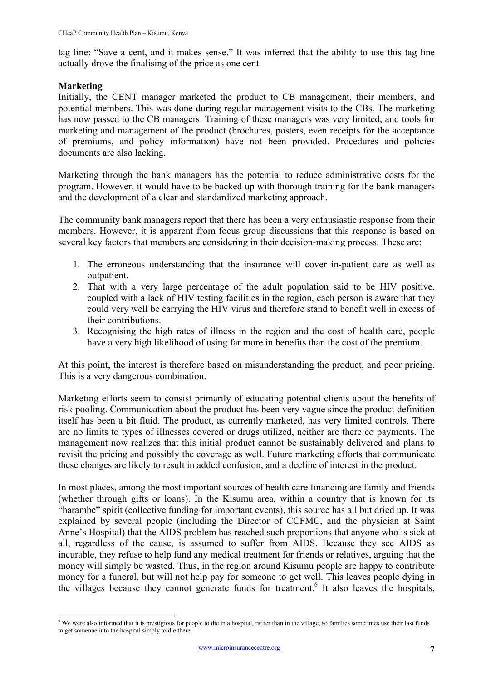tag line: "Save a cent, and it makes sense." It was inferred that the ability to use this tag line actually drove the finalising of the price as one cent.

#### **Marketing**

Initially, the CENT manager marketed the product to CB management, their members, and potential members. This was done during regular management visits to the CBs. The marketing has now passed to the CB managers. Training of these managers was very limited, and tools for marketing and management of the product (brochures, posters, even receipts for the acceptance of premiums, and policy information) have not been provided. Procedures and policies documents are also lacking.

Marketing through the bank managers has the potential to reduce administrative costs for the program. However, it would have to be backed up with thorough training for the bank managers and the development of a clear and standardized marketing approach.

The community bank managers report that there has been a very enthusiastic response from their members. However, it is apparent from focus group discussions that this response is based on several key factors that members are considering in their decision-making process. These are:

- 1. The erroneous understanding that the insurance will cover in-patient care as well as outpatient.
- 2. That with a very large percentage of the adult population said to be HIV positive, coupled with a lack of HIV testing facilities in the region, each person is aware that they could very well be carrying the HIV virus and therefore stand to benefit well in excess of their contributions.
- 3. Recognising the high rates of illness in the region and the cost of health care, people have a very high likelihood of using far more in benefits than the cost of the premium.

At this point, the interest is therefore based on misunderstanding the product, and poor pricing. This is a very dangerous combination.

Marketing efforts seem to consist primarily of educating potential clients about the benefits of risk pooling. Communication about the product has been very vague since the product definition itself has been a bit fluid. The product, as currently marketed, has very limited controls. There are no limits to types of illnesses covered or drugs utilized, neither are there co payments. The management now realizes that this initial product cannot be sustainably delivered and plans to revisit the pricing and possibly the coverage as well. Future marketing efforts that communicate these changes are likely to result in added confusion, and a decline of interest in the product.

In most places, among the most important sources of health care financing are family and friends (whether through gifts or loans). In the Kisumu area, within a country that is known for its "harambe" spirit (collective funding for important events), this source has all but dried up. It was explained by several people (including the Director of CCFMC, and the physician at Saint Anne's Hospital) that the AIDS problem has reached such proportions that anyone who is sick at all, regardless of the cause, is assumed to suffer from AIDS. Because they see AIDS as incurable, they refuse to help fund any medical treatment for friends or relatives, arguing that the money will simply be wasted. Thus, in the region around Kisumu people are happy to contribute money for a funeral, but will not help pay for someone to get well. This leaves people dying in the villages because they cannot generate funds for treatment.<sup>[6](#page-7-0)</sup> It also leaves the hospitals,

<span id="page-7-0"></span><sup>&</sup>lt;sup>6</sup> We were also informed that it is prestigious for people to die in a hospital, rather than in the village, so families sometimes use their last funds **by** We were also informed that it is prestigious for people to die i to get someone into the hospital simply to die there.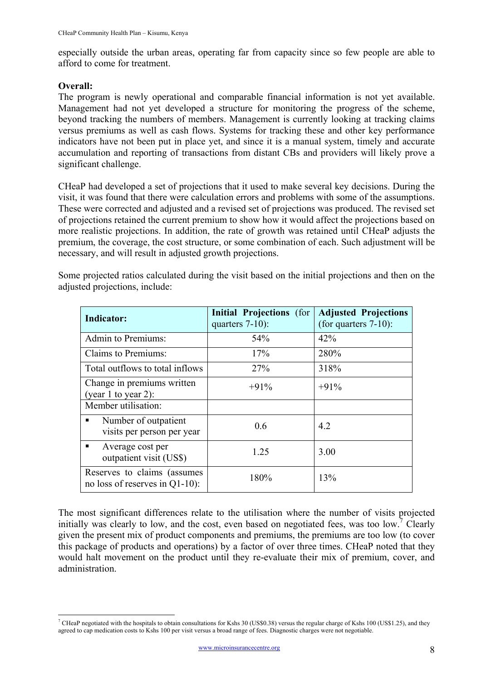especially outside the urban areas, operating far from capacity since so few people are able to afford to come for treatment.

#### **Overall:**

The program is newly operational and comparable financial information is not yet available. Management had not yet developed a structure for monitoring the progress of the scheme, beyond tracking the numbers of members. Management is currently looking at tracking claims versus premiums as well as cash flows. Systems for tracking these and other key performance indicators have not been put in place yet, and since it is a manual system, timely and accurate accumulation and reporting of transactions from distant CBs and providers will likely prove a significant challenge.

CHeaP had developed a set of projections that it used to make several key decisions. During the visit, it was found that there were calculation errors and problems with some of the assumptions. These were corrected and adjusted and a revised set of projections was produced. The revised set of projections retained the current premium to show how it would affect the projections based on more realistic projections. In addition, the rate of growth was retained until CHeaP adjusts the premium, the coverage, the cost structure, or some combination of each. Such adjustment will be necessary, and will result in adjusted growth projections.

| <b>Indicator:</b>                                             | Initial Projections (for<br>quarters $7-10$ : | <b>Adjusted Projections</b><br>(for quarters $7-10$ ): |
|---------------------------------------------------------------|-----------------------------------------------|--------------------------------------------------------|
| Admin to Premiums:                                            | 54%                                           | 42%                                                    |
| Claims to Premiums:                                           | 17%                                           | 280%                                                   |
| Total outflows to total inflows                               | <b>27%</b>                                    | 318%                                                   |
| Change in premiums written<br>(year $1$ to year $2$ ):        | $+91%$                                        | $+91%$                                                 |
| Member utilisation:                                           |                                               |                                                        |
| Number of outpatient<br>visits per person per year            | 0.6                                           | 4.2                                                    |
| Average cost per<br>outpatient visit (US\$)                   | 1.25                                          | 3.00                                                   |
| Reserves to claims (assumes<br>no loss of reserves in Q1-10): | 180%                                          | 13%                                                    |

Some projected ratios calculated during the visit based on the initial projections and then on the adjusted projections, include:

The most significant differences relate to the utilisation where the number of visits projected initially was clearly to low, and the cost, even based on negotiated fees, was too low.<sup>[7](#page-8-0)</sup> Clearly given the present mix of product components and premiums, the premiums are too low (to cover this package of products and operations) by a factor of over three times. CHeaP noted that they would halt movement on the product until they re-evaluate their mix of premium, cover, and administration.

<span id="page-8-0"></span><sup>&</sup>lt;sup>7</sup> CHeaP negotiated with the hospitals to obtain consultations for Kshs 30 (US\$0.38) versus the regular charge of Kshs 100 (US\$1.25), and they agreed to cap medication costs to Kshs 100 per visit versus a broad range of fees. Diagnostic charges were not negotiable.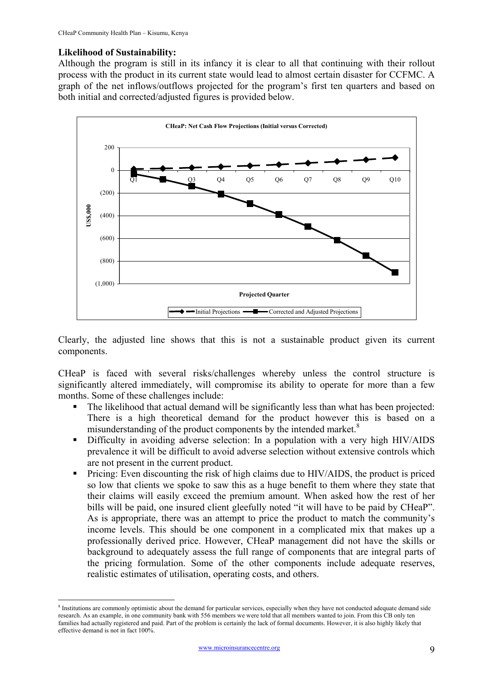#### **Likelihood of Sustainability:**

 $\overline{a}$ 

Although the program is still in its infancy it is clear to all that continuing with their rollout process with the product in its current state would lead to almost certain disaster for CCFMC. A graph of the net inflows/outflows projected for the program's first ten quarters and based on both initial and corrected/adjusted figures is provided below.



Clearly, the adjusted line shows that this is not a sustainable product given its current components.

CHeaP is faced with several risks/challenges whereby unless the control structure is significantly altered immediately, will compromise its ability to operate for more than a few months. Some of these challenges include:

- The likelihood that actual demand will be significantly less than what has been projected: There is a high theoretical demand for the product however this is based on a misunderstanding of the product components by the intended market.<sup>[8](#page-9-0)</sup>
- Difficulty in avoiding adverse selection: In a population with a very high HIV/AIDS prevalence it will be difficult to avoid adverse selection without extensive controls which are not present in the current product.
- **Pricing:** Even discounting the risk of high claims due to HIV/AIDS, the product is priced so low that clients we spoke to saw this as a huge benefit to them where they state that their claims will easily exceed the premium amount. When asked how the rest of her bills will be paid, one insured client gleefully noted "it will have to be paid by CHeaP". As is appropriate, there was an attempt to price the product to match the community's income levels. This should be one component in a complicated mix that makes up a professionally derived price. However, CHeaP management did not have the skills or background to adequately assess the full range of components that are integral parts of the pricing formulation. Some of the other components include adequate reserves, realistic estimates of utilisation, operating costs, and others.

<span id="page-9-0"></span><sup>&</sup>lt;sup>8</sup> Institutions are commonly optimistic about the demand for particular services, especially when they have not conducted adequate demand side research. As an example, in one community bank with 556 members we were told that all members wanted to join. From this CB only ten families had actually registered and paid. Part of the problem is certainly the lack of formal documents. However, it is also highly likely that effective demand is not in fact 100%.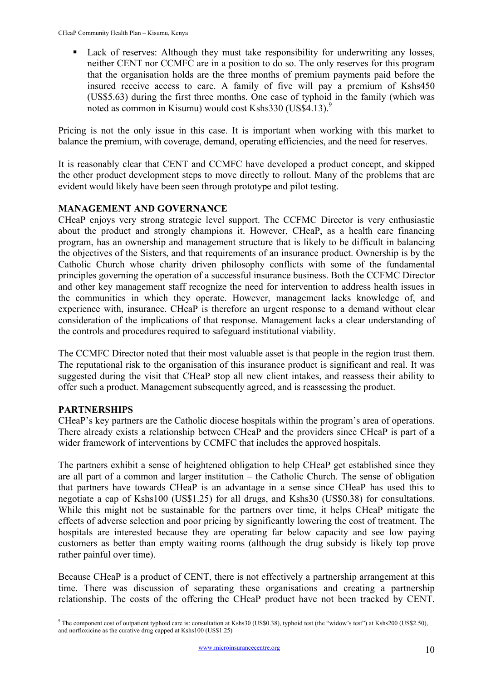Lack of reserves: Although they must take responsibility for underwriting any losses, neither CENT nor CCMFC are in a position to do so. The only reserves for this program that the organisation holds are the three months of premium payments paid before the insured receive access to care. A family of five will pay a premium of Kshs450 (US\$5.63) during the first three months. One case of typhoid in the family (which was noted as common in Kisumu) would cost Kshs330 (US\$4.13).<sup>[9](#page-10-0)</sup>

Pricing is not the only issue in this case. It is important when working with this market to balance the premium, with coverage, demand, operating efficiencies, and the need for reserves.

It is reasonably clear that CENT and CCMFC have developed a product concept, and skipped the other product development steps to move directly to rollout. Many of the problems that are evident would likely have been seen through prototype and pilot testing.

#### **MANAGEMENT AND GOVERNANCE**

CHeaP enjoys very strong strategic level support. The CCFMC Director is very enthusiastic about the product and strongly champions it. However, CHeaP, as a health care financing program, has an ownership and management structure that is likely to be difficult in balancing the objectives of the Sisters, and that requirements of an insurance product. Ownership is by the Catholic Church whose charity driven philosophy conflicts with some of the fundamental principles governing the operation of a successful insurance business. Both the CCFMC Director and other key management staff recognize the need for intervention to address health issues in the communities in which they operate. However, management lacks knowledge of, and experience with, insurance. CHeaP is therefore an urgent response to a demand without clear consideration of the implications of that response. Management lacks a clear understanding of the controls and procedures required to safeguard institutional viability.

The CCMFC Director noted that their most valuable asset is that people in the region trust them. The reputational risk to the organisation of this insurance product is significant and real. It was suggested during the visit that CHeaP stop all new client intakes, and reassess their ability to offer such a product. Management subsequently agreed, and is reassessing the product.

#### **PARTNERSHIPS**

CHeaP's key partners are the Catholic diocese hospitals within the program's area of operations. There already exists a relationship between CHeaP and the providers since CHeaP is part of a wider framework of interventions by CCMFC that includes the approved hospitals.

The partners exhibit a sense of heightened obligation to help CHeaP get established since they are all part of a common and larger institution – the Catholic Church. The sense of obligation that partners have towards CHeaP is an advantage in a sense since CHeaP has used this to negotiate a cap of Kshs100 (US\$1.25) for all drugs, and Kshs30 (US\$0.38) for consultations. While this might not be sustainable for the partners over time, it helps CHeaP mitigate the effects of adverse selection and poor pricing by significantly lowering the cost of treatment. The hospitals are interested because they are operating far below capacity and see low paying customers as better than empty waiting rooms (although the drug subsidy is likely top prove rather painful over time).

Because CHeaP is a product of CENT, there is not effectively a partnership arrangement at this time. There was discussion of separating these organisations and creating a partnership relationship. The costs of the offering the CHeaP product have not been tracked by CENT.

<span id="page-10-0"></span> 9 The component cost of outpatient typhoid care is: consultation at Kshs30 (US\$0.38), typhoid test (the "widow's test") at Kshs200 (US\$2.50), and norfloxicine as the curative drug capped at Kshs100 (US\$1.25)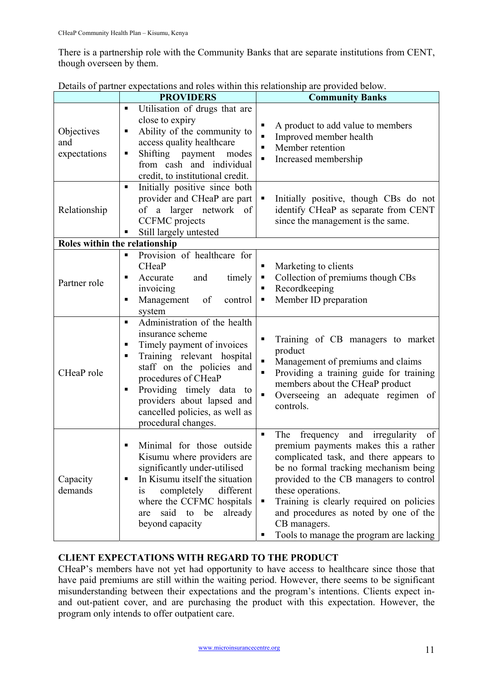There is a partnership role with the Community Banks that are separate institutions from CENT, though overseen by them.

|                                   | <b>PROVIDERS</b>                                                                                                                                                                                                                                                                                                     | <b>Community Banks</b>                                                                                                                                                                                                                                                                                                                                                                                        |
|-----------------------------------|----------------------------------------------------------------------------------------------------------------------------------------------------------------------------------------------------------------------------------------------------------------------------------------------------------------------|---------------------------------------------------------------------------------------------------------------------------------------------------------------------------------------------------------------------------------------------------------------------------------------------------------------------------------------------------------------------------------------------------------------|
| Objectives<br>and<br>expectations | Utilisation of drugs that are<br>close to expiry<br>Ability of the community to<br>п<br>access quality healthcare<br>Shifting payment<br>modes<br>п<br>from cash and individual<br>credit, to institutional credit.                                                                                                  | A product to add value to members<br>п<br>Improved member health<br>$\blacksquare$<br>Member retention<br>п<br>Increased membership<br>$\blacksquare$                                                                                                                                                                                                                                                         |
| Relationship                      | $\blacksquare$<br>Initially positive since both<br>provider and CHeaP are part<br>of a larger network of<br><b>CCFMC</b> projects<br>Still largely untested                                                                                                                                                          | Initially positive, though CBs do not<br>п<br>identify CHeaP as separate from CENT<br>since the management is the same.                                                                                                                                                                                                                                                                                       |
| Roles within the relationship     |                                                                                                                                                                                                                                                                                                                      |                                                                                                                                                                                                                                                                                                                                                                                                               |
| Partner role                      | Provision of healthcare for<br>Ξ<br><b>CHeaP</b><br>Accurate<br>timely<br>and<br>Е<br>invoicing<br>Management<br>of<br>control<br>п<br>system                                                                                                                                                                        | Marketing to clients<br>п<br>Collection of premiums though CBs<br>Ξ<br>Recordkeeping<br>Member ID preparation<br>Е                                                                                                                                                                                                                                                                                            |
| CHeaP role                        | Administration of the health<br>$\blacksquare$<br>insurance scheme<br>Timely payment of invoices<br>٠<br>Training relevant hospital<br>٠<br>staff on the policies and<br>procedures of CHeaP<br>Providing timely data to<br>ш<br>providers about lapsed and<br>cancelled policies, as well as<br>procedural changes. | Training of CB managers to market<br>$\blacksquare$<br>product<br>Management of premiums and claims<br>П<br>Providing a training guide for training<br>$\blacksquare$<br>members about the CHeaP product<br>$\blacksquare$<br>Overseeing an adequate regimen of<br>controls.                                                                                                                                  |
| Capacity<br>demands               | Minimal for those outside<br>Kisumu where providers are<br>significantly under-utilised<br>In Kisumu itself the situation<br>different<br>completely<br>1S<br>where the CCFMC hospitals<br>said to<br>be<br>already<br>are<br>beyond capacity                                                                        | The<br>frequency and<br>irregularity of<br>$\blacksquare$<br>premium payments makes this a rather<br>complicated task, and there appears to<br>be no formal tracking mechanism being<br>provided to the CB managers to control<br>these operations.<br>Training is clearly required on policies<br>п<br>and procedures as noted by one of the<br>CB managers.<br>Tools to manage the program are lacking<br>Е |

Details of partner expectations and roles within this relationship are provided below.

#### **CLIENT EXPECTATIONS WITH REGARD TO THE PRODUCT**

CHeaP's members have not yet had opportunity to have access to healthcare since those that have paid premiums are still within the waiting period. However, there seems to be significant misunderstanding between their expectations and the program's intentions. Clients expect inand out-patient cover, and are purchasing the product with this expectation. However, the program only intends to offer outpatient care.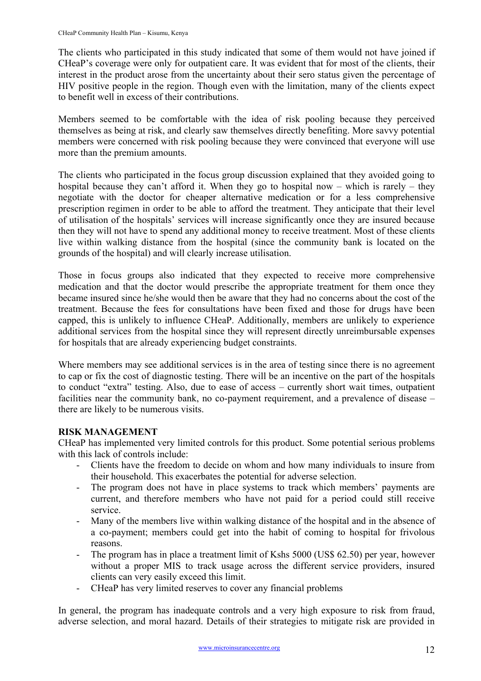The clients who participated in this study indicated that some of them would not have joined if CHeaP's coverage were only for outpatient care. It was evident that for most of the clients, their interest in the product arose from the uncertainty about their sero status given the percentage of HIV positive people in the region. Though even with the limitation, many of the clients expect to benefit well in excess of their contributions.

Members seemed to be comfortable with the idea of risk pooling because they perceived themselves as being at risk, and clearly saw themselves directly benefiting. More savvy potential members were concerned with risk pooling because they were convinced that everyone will use more than the premium amounts.

The clients who participated in the focus group discussion explained that they avoided going to hospital because they can't afford it. When they go to hospital now – which is rarely – they negotiate with the doctor for cheaper alternative medication or for a less comprehensive prescription regimen in order to be able to afford the treatment. They anticipate that their level of utilisation of the hospitals' services will increase significantly once they are insured because then they will not have to spend any additional money to receive treatment. Most of these clients live within walking distance from the hospital (since the community bank is located on the grounds of the hospital) and will clearly increase utilisation.

Those in focus groups also indicated that they expected to receive more comprehensive medication and that the doctor would prescribe the appropriate treatment for them once they became insured since he/she would then be aware that they had no concerns about the cost of the treatment. Because the fees for consultations have been fixed and those for drugs have been capped, this is unlikely to influence CHeaP. Additionally, members are unlikely to experience additional services from the hospital since they will represent directly unreimbursable expenses for hospitals that are already experiencing budget constraints.

Where members may see additional services is in the area of testing since there is no agreement to cap or fix the cost of diagnostic testing. There will be an incentive on the part of the hospitals to conduct "extra" testing. Also, due to ease of access – currently short wait times, outpatient facilities near the community bank, no co-payment requirement, and a prevalence of disease – there are likely to be numerous visits.

#### **RISK MANAGEMENT**

CHeaP has implemented very limited controls for this product. Some potential serious problems with this lack of controls include:

- Clients have the freedom to decide on whom and how many individuals to insure from their household. This exacerbates the potential for adverse selection.
- The program does not have in place systems to track which members' payments are current, and therefore members who have not paid for a period could still receive service.
- Many of the members live within walking distance of the hospital and in the absence of a co-payment; members could get into the habit of coming to hospital for frivolous reasons.
- The program has in place a treatment limit of Kshs 5000 (US\$ 62.50) per year, however without a proper MIS to track usage across the different service providers, insured clients can very easily exceed this limit.
- CHeaP has very limited reserves to cover any financial problems

In general, the program has inadequate controls and a very high exposure to risk from fraud, adverse selection, and moral hazard. Details of their strategies to mitigate risk are provided in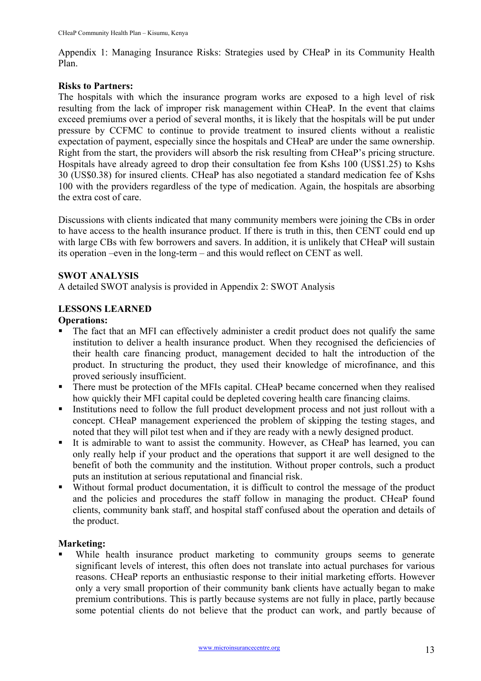Appendix 1: Managing Insurance Risks: Strategies used by CHeaP in its Community Health Plan.

#### **Risks to Partners:**

The hospitals with which the insurance program works are exposed to a high level of risk resulting from the lack of improper risk management within CHeaP. In the event that claims exceed premiums over a period of several months, it is likely that the hospitals will be put under pressure by CCFMC to continue to provide treatment to insured clients without a realistic expectation of payment, especially since the hospitals and CHeaP are under the same ownership. Right from the start, the providers will absorb the risk resulting from CHeaP's pricing structure. Hospitals have already agreed to drop their consultation fee from Kshs 100 (US\$1.25) to Kshs 30 (US\$0.38) for insured clients. CHeaP has also negotiated a standard medication fee of Kshs 100 with the providers regardless of the type of medication. Again, the hospitals are absorbing the extra cost of care.

Discussions with clients indicated that many community members were joining the CBs in order to have access to the health insurance product. If there is truth in this, then CENT could end up with large CBs with few borrowers and savers. In addition, it is unlikely that CHeaP will sustain its operation –even in the long-term – and this would reflect on CENT as well.

#### **SWOT ANALYSIS**

A detailed SWOT analysis is provided in Appendix 2: SWOT Analysis

#### **LESSONS LEARNED**

#### **Operations:**

- The fact that an MFI can effectively administer a credit product does not qualify the same institution to deliver a health insurance product. When they recognised the deficiencies of their health care financing product, management decided to halt the introduction of the product. In structuring the product, they used their knowledge of microfinance, and this proved seriously insufficient.
- There must be protection of the MFIs capital. CHeaP became concerned when they realised how quickly their MFI capital could be depleted covering health care financing claims.
- Institutions need to follow the full product development process and not just rollout with a concept. CHeaP management experienced the problem of skipping the testing stages, and noted that they will pilot test when and if they are ready with a newly designed product.
- It is admirable to want to assist the community. However, as CHeaP has learned, you can only really help if your product and the operations that support it are well designed to the benefit of both the community and the institution. Without proper controls, such a product puts an institution at serious reputational and financial risk.
- Without formal product documentation, it is difficult to control the message of the product and the policies and procedures the staff follow in managing the product. CHeaP found clients, community bank staff, and hospital staff confused about the operation and details of the product.

#### **Marketing:**

 While health insurance product marketing to community groups seems to generate significant levels of interest, this often does not translate into actual purchases for various reasons. CHeaP reports an enthusiastic response to their initial marketing efforts. However only a very small proportion of their community bank clients have actually began to make premium contributions. This is partly because systems are not fully in place, partly because some potential clients do not believe that the product can work, and partly because of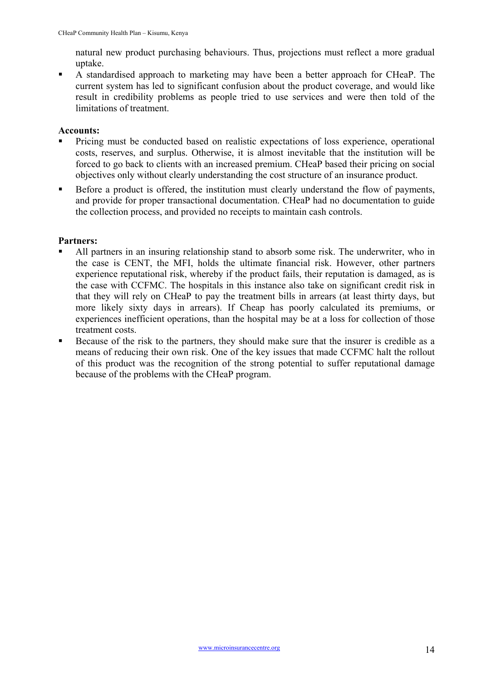natural new product purchasing behaviours. Thus, projections must reflect a more gradual uptake.

 A standardised approach to marketing may have been a better approach for CHeaP. The current system has led to significant confusion about the product coverage, and would like result in credibility problems as people tried to use services and were then told of the limitations of treatment.

#### **Accounts:**

- Pricing must be conducted based on realistic expectations of loss experience, operational costs, reserves, and surplus. Otherwise, it is almost inevitable that the institution will be forced to go back to clients with an increased premium. CHeaP based their pricing on social objectives only without clearly understanding the cost structure of an insurance product.
- Before a product is offered, the institution must clearly understand the flow of payments, and provide for proper transactional documentation. CHeaP had no documentation to guide the collection process, and provided no receipts to maintain cash controls.

#### **Partners:**

- All partners in an insuring relationship stand to absorb some risk. The underwriter, who in the case is CENT, the MFI, holds the ultimate financial risk. However, other partners experience reputational risk, whereby if the product fails, their reputation is damaged, as is the case with CCFMC. The hospitals in this instance also take on significant credit risk in that they will rely on CHeaP to pay the treatment bills in arrears (at least thirty days, but more likely sixty days in arrears). If Cheap has poorly calculated its premiums, or experiences inefficient operations, than the hospital may be at a loss for collection of those treatment costs.
- Because of the risk to the partners, they should make sure that the insurer is credible as a means of reducing their own risk. One of the key issues that made CCFMC halt the rollout of this product was the recognition of the strong potential to suffer reputational damage because of the problems with the CHeaP program.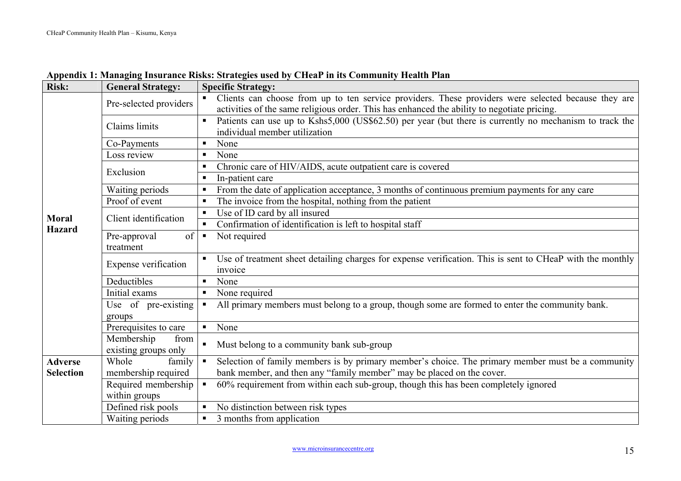| <b>Risk:</b>     | <b>General Strategy:</b>                | <b>Specific Strategy:</b>                                                                                                 |  |  |  |
|------------------|-----------------------------------------|---------------------------------------------------------------------------------------------------------------------------|--|--|--|
|                  | Pre-selected providers                  | Clients can choose from up to ten service providers. These providers were selected because they are<br>π.                 |  |  |  |
|                  |                                         | activities of the same religious order. This has enhanced the ability to negotiate pricing.                               |  |  |  |
|                  | Claims limits                           | Patients can use up to Kshs5,000 (US\$62.50) per year (but there is currently no mechanism to track the<br>$\blacksquare$ |  |  |  |
|                  |                                         | individual member utilization                                                                                             |  |  |  |
|                  | Co-Payments                             | None                                                                                                                      |  |  |  |
|                  | Loss review                             | None                                                                                                                      |  |  |  |
|                  | Exclusion                               | Chronic care of HIV/AIDS, acute outpatient care is covered<br>$\blacksquare$                                              |  |  |  |
|                  |                                         | In-patient care<br>п                                                                                                      |  |  |  |
|                  | Waiting periods                         | From the date of application acceptance, 3 months of continuous premium payments for any care<br>п                        |  |  |  |
|                  | Proof of event                          | The invoice from the hospital, nothing from the patient<br>П                                                              |  |  |  |
| <b>Moral</b>     | Client identification                   | Use of ID card by all insured<br>$\blacksquare$                                                                           |  |  |  |
| <b>Hazard</b>    |                                         | Confirmation of identification is left to hospital staff<br>$\blacksquare$                                                |  |  |  |
|                  | Pre-approval<br>of                      | Not required<br>$\blacksquare$                                                                                            |  |  |  |
|                  | treatment                               |                                                                                                                           |  |  |  |
|                  | Expense verification                    | Use of treatment sheet detailing charges for expense verification. This is sent to CHeaP with the monthly<br>invoice      |  |  |  |
|                  | Deductibles                             | None<br>π.                                                                                                                |  |  |  |
|                  | Initial exams                           | None required<br>$\blacksquare$                                                                                           |  |  |  |
|                  | Use of pre-existing                     | All primary members must belong to a group, though some are formed to enter the community bank.<br>$\blacksquare$         |  |  |  |
|                  | groups                                  |                                                                                                                           |  |  |  |
|                  | Prerequisites to care                   | None<br>$\blacksquare$                                                                                                    |  |  |  |
|                  | Membership<br>from                      | $\blacksquare$<br>Must belong to a community bank sub-group                                                               |  |  |  |
| <b>Adverse</b>   | existing groups only<br>Whole<br>family | Selection of family members is by primary member's choice. The primary member must be a community<br>$\blacksquare$       |  |  |  |
| <b>Selection</b> | membership required                     | bank member, and then any "family member" may be placed on the cover.                                                     |  |  |  |
|                  | Required membership                     | 60% requirement from within each sub-group, though this has been completely ignored<br>$\blacksquare$                     |  |  |  |
|                  | within groups                           |                                                                                                                           |  |  |  |
|                  | Defined risk pools                      | No distinction between risk types<br>٠                                                                                    |  |  |  |
|                  | Waiting periods                         | 3 months from application<br>π.                                                                                           |  |  |  |

#### **Appendix 1: Managing Insurance Risks: Strategies used by CHeaP in its Community Health Plan**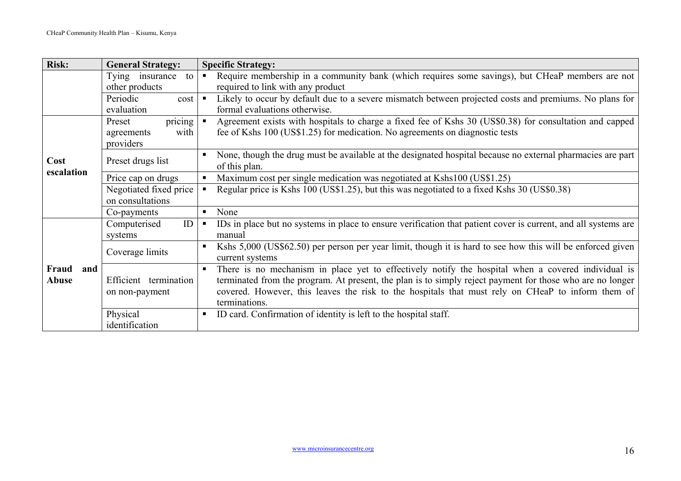| <b>Risk:</b>          | <b>General Strategy:</b><br><b>Specific Strategy:</b>                    |                                                                                                                                                                                                                                                                                                                                       |  |  |  |  |
|-----------------------|--------------------------------------------------------------------------|---------------------------------------------------------------------------------------------------------------------------------------------------------------------------------------------------------------------------------------------------------------------------------------------------------------------------------------|--|--|--|--|
|                       | Tying insurance<br>to<br>other products                                  | Require membership in a community bank (which requires some savings), but CHeaP members are not<br>$\blacksquare$<br>required to link with any product                                                                                                                                                                                |  |  |  |  |
|                       | Periodic<br>cost<br>evaluation                                           | Likely to occur by default due to a severe mismatch between projected costs and premiums. No plans for<br>$\blacksquare$<br>formal evaluations otherwise.                                                                                                                                                                             |  |  |  |  |
|                       | $\overline{\text{pricing}}$<br>Preset<br>with<br>agreements<br>providers | Agreement exists with hospitals to charge a fixed fee of Kshs 30 (US\$0.38) for consultation and capped<br>$\blacksquare$<br>fee of Kshs 100 (US\$1.25) for medication. No agreements on diagnostic tests                                                                                                                             |  |  |  |  |
| Cost<br>escalation    | Preset drugs list                                                        | None, though the drug must be available at the designated hospital because no external pharmacies are part<br>п<br>of this plan.                                                                                                                                                                                                      |  |  |  |  |
|                       | Price cap on drugs                                                       | Maximum cost per single medication was negotiated at Kshs100 (US\$1.25)<br>$\blacksquare$                                                                                                                                                                                                                                             |  |  |  |  |
|                       | Negotiated fixed price<br>on consultations                               | Regular price is Kshs 100 (US\$1.25), but this was negotiated to a fixed Kshs 30 (US\$0.38)<br>$\blacksquare$                                                                                                                                                                                                                         |  |  |  |  |
|                       | Co-payments                                                              | None<br>п                                                                                                                                                                                                                                                                                                                             |  |  |  |  |
|                       | ID<br>Computerised<br>systems                                            | IDs in place but no systems in place to ensure verification that patient cover is current, and all systems are<br>$\blacksquare$<br>manual                                                                                                                                                                                            |  |  |  |  |
|                       | Coverage limits                                                          | Kshs 5,000 (US\$62.50) per person per year limit, though it is hard to see how this will be enforced given<br>current systems                                                                                                                                                                                                         |  |  |  |  |
| Fraud<br>and<br>Abuse | Efficient termination<br>on non-payment                                  | There is no mechanism in place yet to effectively notify the hospital when a covered individual is<br>terminated from the program. At present, the plan is to simply reject payment for those who are no longer<br>covered. However, this leaves the risk to the hospitals that must rely on CHeaP to inform them of<br>terminations. |  |  |  |  |
|                       | Physical<br>identification                                               | ID card. Confirmation of identity is left to the hospital staff.<br>п,                                                                                                                                                                                                                                                                |  |  |  |  |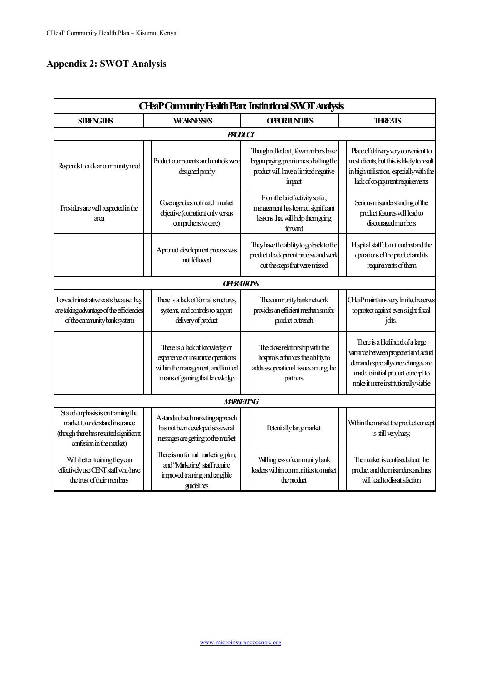## **Appendix 2: SWOT Analysis**

| <b>CHaP Community Health Plan: Institutional SWOT Analysis</b>                                                                             |                                                                                                                                                |  |                                                                                                                               |  |                                                                                                                                                                                              |  |  |
|--------------------------------------------------------------------------------------------------------------------------------------------|------------------------------------------------------------------------------------------------------------------------------------------------|--|-------------------------------------------------------------------------------------------------------------------------------|--|----------------------------------------------------------------------------------------------------------------------------------------------------------------------------------------------|--|--|
| <b>SIRENGHS</b>                                                                                                                            | <b>WEAKNESSES</b>                                                                                                                              |  | <b>OPORIUNTIES</b>                                                                                                            |  | <b>THRFATS</b>                                                                                                                                                                               |  |  |
|                                                                                                                                            | <b>PRODUCT</b>                                                                                                                                 |  |                                                                                                                               |  |                                                                                                                                                                                              |  |  |
| Responds to a clear community need                                                                                                         | Product components and controls were<br>designed poorly                                                                                        |  | Though rolled out, few members have<br>begun paying premiums so halting the<br>product will have a limited negative<br>impact |  | Place of delivery very convenient to<br>most clients, but this is likely to result<br>in high utilisation, especially with the<br>lack of co-payment requirements                            |  |  |
| Providers are well respected in the<br>area                                                                                                | Coverage does not match market<br>objective (outpatient only versus<br>comprehensive care)                                                     |  | From the brief activity so far,<br>management has learned significant<br>lessons that will help them going<br>forward         |  | Serious misunderstanding of the<br>product features will lead to<br>discouraged members                                                                                                      |  |  |
|                                                                                                                                            | Aproduct development process was<br>nd followed                                                                                                |  | They have the ability to go back to the<br>product development process and work<br>out the steps that were missed             |  | Hispital staff do not understand the<br>operations of the product and its<br>requirements of them                                                                                            |  |  |
|                                                                                                                                            | <b>OPERATIONS</b>                                                                                                                              |  |                                                                                                                               |  |                                                                                                                                                                                              |  |  |
| Lowadministrative costs because they<br>are taking advantage of the efficiencies<br>of the community bank system                           | There is a lack of formal structures.<br>systems, and controls to support<br>delivery of product                                               |  | The community bank network<br>provides an efficient mechanism for<br>product outreach                                         |  | <b>CHaPmaintains very limited reserves</b><br>to protect against even slight fiscal<br>jolts.                                                                                                |  |  |
|                                                                                                                                            | There is a lack of knowledge or<br>experience of insurance operations<br>within the management, and limited<br>means of gaining that knowledge |  | The close relationship with the<br>hospitals enhances the ability to<br>address operational issues among the<br>partners      |  | There is a likelihood of a large<br>variance between projected and actual<br>demand especially once changes are<br>made to initial product concept to<br>make it more institutionally viable |  |  |
|                                                                                                                                            | <b>MARKETING</b>                                                                                                                               |  |                                                                                                                               |  |                                                                                                                                                                                              |  |  |
| Stated emphasis is on training the<br>market to understand insurance<br>(though there has resulted significant<br>confusion in the market) | A standardized marketing approach<br>has not been developed so several<br>messages are getting to the market                                   |  | Potentially large market                                                                                                      |  | Within the market the product concept<br>is still very hazy,                                                                                                                                 |  |  |
| With better training they can<br>effectively use CENT staff who have<br>the trust of their members                                         | There is no formal marketing plan,<br>and "Marketing" staff require<br>inproved training and tangible<br>guidelines                            |  | Willingness of community bank<br>leaders within communities to market<br>the product                                          |  | The market is confirsed about the<br>product and the misunderstandings<br>will lead to dissatisfaction                                                                                       |  |  |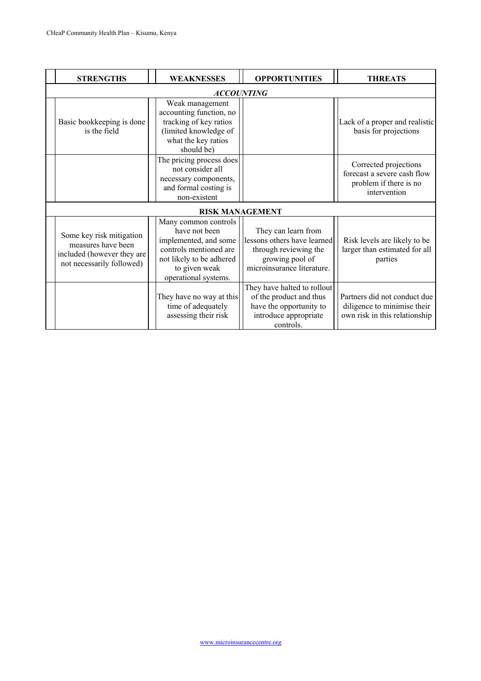| <b>STRENGTHS</b>                                                                                          | <b>WEAKNESSES</b>                                                                                                                                             | <b>OPPORTUNITIES</b>                                                                                                         | <b>THREATS</b>                                                                                 |  |  |  |
|-----------------------------------------------------------------------------------------------------------|---------------------------------------------------------------------------------------------------------------------------------------------------------------|------------------------------------------------------------------------------------------------------------------------------|------------------------------------------------------------------------------------------------|--|--|--|
| <b>ACCOUNTING</b>                                                                                         |                                                                                                                                                               |                                                                                                                              |                                                                                                |  |  |  |
| Basic bookkeeping is done<br>is the field                                                                 | Weak management<br>accounting function, no<br>tracking of key ratios<br>(limited knowledge of<br>what the key ratios<br>should be)                            |                                                                                                                              | Lack of a proper and realistic<br>basis for projections                                        |  |  |  |
|                                                                                                           | The pricing process does<br>not consider all<br>necessary components,<br>and formal costing is<br>non-existent                                                |                                                                                                                              | Corrected projections<br>forecast a severe cash flow<br>problem if there is no<br>intervention |  |  |  |
|                                                                                                           | <b>RISK MANAGEMENT</b>                                                                                                                                        |                                                                                                                              |                                                                                                |  |  |  |
| Some key risk mitigation<br>measures have been<br>included (however they are<br>not necessarily followed) | Many common controls<br>have not been<br>implemented, and some<br>controls mentioned are<br>not likely to be adhered<br>to given weak<br>operational systems. | They can learn from<br>lessons others have learned<br>through reviewing the<br>growing pool of<br>microinsurance literature. | Risk levels are likely to be<br>larger than estimated for all<br>parties                       |  |  |  |
|                                                                                                           | They have no way at this<br>time of adequately<br>assessing their risk                                                                                        | They have halted to rollout<br>of the product and thus<br>have the opportunity to<br>introduce appropriate<br>controls.      | Partners did not conduct due<br>diligence to minimise their<br>own risk in this relationship   |  |  |  |